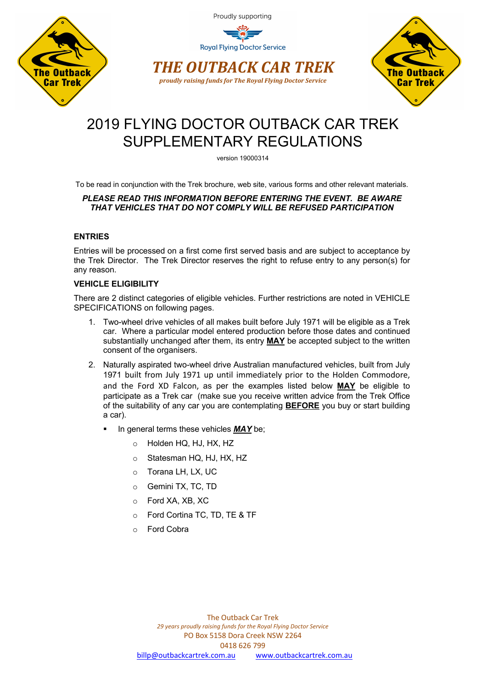

**Royal Flying Doctor Service** 





# 2019 FLYING DOCTOR OUTBACK CAR TREK SUPPLEMENTARY REGULATIONS

version 19000314

To be read in conjunction with the Trek brochure, web site, various forms and other relevant materials.

## *PLEASE READ THIS INFORMATION BEFORE ENTERING THE EVENT. BE AWARE THAT VEHICLES THAT DO NOT COMPLY WILL BE REFUSED PARTICIPATION*

# **ENTRIES**

Entries will be processed on a first come first served basis and are subject to acceptance by the Trek Director. The Trek Director reserves the right to refuse entry to any person(s) for any reason.

# **VEHICLE ELIGIBILITY**

There are 2 distinct categories of eligible vehicles. Further restrictions are noted in VEHICLE SPECIFICATIONS on following pages.

- 1. Two-wheel drive vehicles of all makes built before July 1971 will be eligible as a Trek car. Where a particular model entered production before those dates and continued substantially unchanged after them, its entry **MAY** be accepted subject to the written consent of the organisers.
- 2. Naturally aspirated two-wheel drive Australian manufactured vehicles, built from July 1971 built from July 1971 up until immediately prior to the Holden Commodore, and the Ford XD Falcon, as per the examples listed below **MAY** be eligible to participate as a Trek car (make sue you receive written advice from the Trek Office of the suitability of any car you are contemplating **BEFORE** you buy or start building a car).
	- § In general terms these vehicles *MAY* be;
		- o Holden HQ, HJ, HX, HZ
		- o Statesman HQ, HJ, HX, HZ
		- o Torana LH, LX, UC
		- o Gemini TX, TC, TD
		- o Ford XA, XB, XC
		- o Ford Cortina TC, TD, TE & TF
		- o Ford Cobra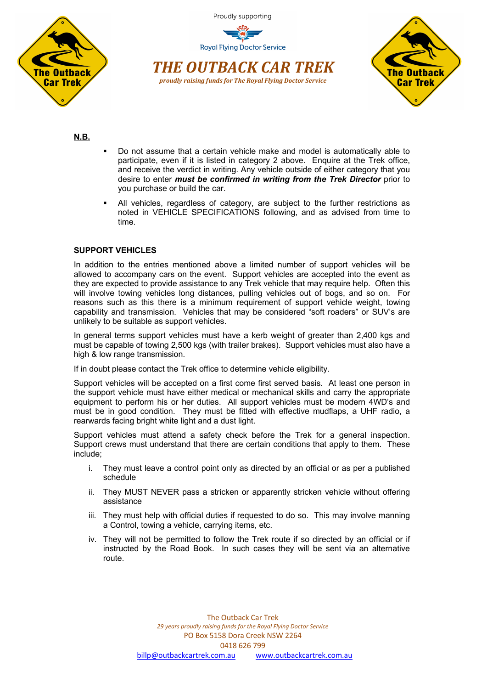





**N.B.**

- § Do not assume that a certain vehicle make and model is automatically able to participate, even if it is listed in category 2 above. Enquire at the Trek office, and receive the verdict in writing. Any vehicle outside of either category that you desire to enter *must be confirmed in writing from the Trek Director* prior to you purchase or build the car.
- All vehicles, regardless of category, are subject to the further restrictions as noted in VEHICLE SPECIFICATIONS following, and as advised from time to time.

## **SUPPORT VEHICLES**

In addition to the entries mentioned above a limited number of support vehicles will be allowed to accompany cars on the event. Support vehicles are accepted into the event as they are expected to provide assistance to any Trek vehicle that may require help. Often this will involve towing vehicles long distances, pulling vehicles out of bogs, and so on. For reasons such as this there is a minimum requirement of support vehicle weight, towing capability and transmission. Vehicles that may be considered "soft roaders" or SUV's are unlikely to be suitable as support vehicles.

In general terms support vehicles must have a kerb weight of greater than 2,400 kgs and must be capable of towing 2,500 kgs (with trailer brakes). Support vehicles must also have a high & low range transmission.

If in doubt please contact the Trek office to determine vehicle eligibility.

Support vehicles will be accepted on a first come first served basis. At least one person in the support vehicle must have either medical or mechanical skills and carry the appropriate equipment to perform his or her duties. All support vehicles must be modern 4WD's and must be in good condition. They must be fitted with effective mudflaps, a UHF radio, a rearwards facing bright white light and a dust light.

Support vehicles must attend a safety check before the Trek for a general inspection. Support crews must understand that there are certain conditions that apply to them. These include;

- i. They must leave a control point only as directed by an official or as per a published schedule
- ii. They MUST NEVER pass a stricken or apparently stricken vehicle without offering assistance
- iii. They must help with official duties if requested to do so. This may involve manning a Control, towing a vehicle, carrying items, etc.
- iv. They will not be permitted to follow the Trek route if so directed by an official or if instructed by the Road Book. In such cases they will be sent via an alternative route.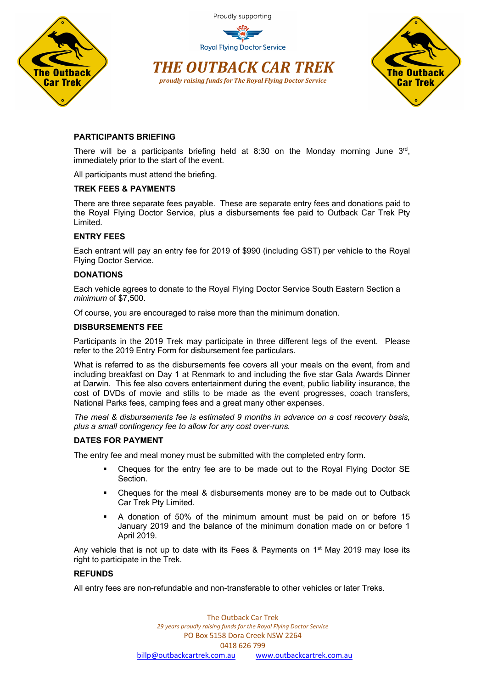

**Royal Flying Doctor Service** 





# **PARTICIPANTS BRIEFING**

There will be a participants briefing held at 8:30 on the Monday morning June  $3<sup>rd</sup>$ , immediately prior to the start of the event.

All participants must attend the briefing.

## **TREK FEES & PAYMENTS**

There are three separate fees payable. These are separate entry fees and donations paid to the Royal Flying Doctor Service, plus a disbursements fee paid to Outback Car Trek Pty Limited.

## **ENTRY FEES**

Each entrant will pay an entry fee for 2019 of \$990 (including GST) per vehicle to the Royal Flying Doctor Service.

## **DONATIONS**

Each vehicle agrees to donate to the Royal Flying Doctor Service South Eastern Section a *minimum* of \$7,500.

Of course, you are encouraged to raise more than the minimum donation.

## **DISBURSEMENTS FEE**

Participants in the 2019 Trek may participate in three different legs of the event. Please refer to the 2019 Entry Form for disbursement fee particulars.

What is referred to as the disbursements fee covers all your meals on the event, from and including breakfast on Day 1 at Renmark to and including the five star Gala Awards Dinner at Darwin. This fee also covers entertainment during the event, public liability insurance, the cost of DVDs of movie and stills to be made as the event progresses, coach transfers, National Parks fees, camping fees and a great many other expenses.

*The meal & disbursements fee is estimated 9 months in advance on a cost recovery basis, plus a small contingency fee to allow for any cost over-runs.*

# **DATES FOR PAYMENT**

The entry fee and meal money must be submitted with the completed entry form.

- § Cheques for the entry fee are to be made out to the Royal Flying Doctor SE Section.
- § Cheques for the meal & disbursements money are to be made out to Outback Car Trek Pty Limited.
- § A donation of 50% of the minimum amount must be paid on or before 15 January 2019 and the balance of the minimum donation made on or before 1 April 2019.

Any vehicle that is not up to date with its Fees & Payments on  $1<sup>st</sup>$  May 2019 may lose its right to participate in the Trek.

# **REFUNDS**

All entry fees are non-refundable and non-transferable to other vehicles or later Treks.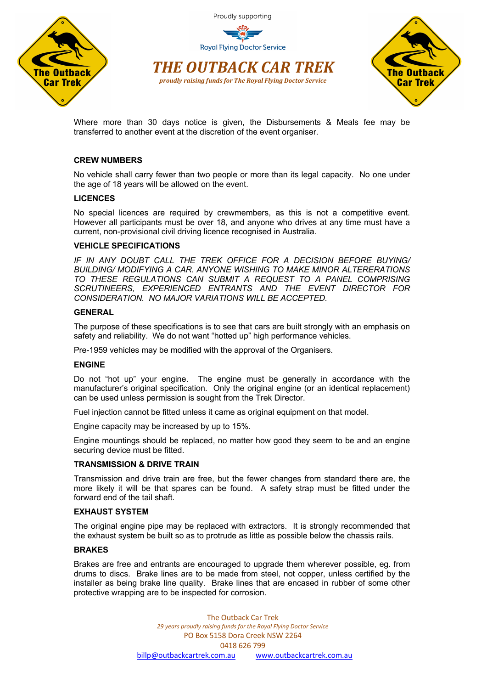

*THE OUTBACK CAR TREK proudly raising funds for The Royal Flying Doctor Service*



Where more than 30 days notice is given, the Disbursements & Meals fee may be

transferred to another event at the discretion of the event organiser.

## **CREW NUMBERS**

No vehicle shall carry fewer than two people or more than its legal capacity. No one under the age of 18 years will be allowed on the event.

#### **LICENCES**

No special licences are required by crewmembers, as this is not a competitive event. However all participants must be over 18, and anyone who drives at any time must have a current, non-provisional civil driving licence recognised in Australia.

## **VEHICLE SPECIFICATIONS**

*IF IN ANY DOUBT CALL THE TREK OFFICE FOR A DECISION BEFORE BUYING/ BUILDING/ MODIFYING A CAR. ANYONE WISHING TO MAKE MINOR ALTERERATIONS TO THESE REGULATIONS CAN SUBMIT A REQUEST TO A PANEL COMPRISING SCRUTINEERS, EXPERIENCED ENTRANTS AND THE EVENT DIRECTOR FOR CONSIDERATION. NO MAJOR VARIATIONS WILL BE ACCEPTED.*

#### **GENERAL**

The purpose of these specifications is to see that cars are built strongly with an emphasis on safety and reliability. We do not want "hotted up" high performance vehicles.

Pre-1959 vehicles may be modified with the approval of the Organisers.

#### **ENGINE**

Do not "hot up" your engine. The engine must be generally in accordance with the manufacturer's original specification. Only the original engine (or an identical replacement) can be used unless permission is sought from the Trek Director.

Fuel injection cannot be fitted unless it came as original equipment on that model.

Engine capacity may be increased by up to 15%.

Engine mountings should be replaced, no matter how good they seem to be and an engine securing device must be fitted.

#### **TRANSMISSION & DRIVE TRAIN**

Transmission and drive train are free, but the fewer changes from standard there are, the more likely it will be that spares can be found. A safety strap must be fitted under the forward end of the tail shaft.

#### **EXHAUST SYSTEM**

The original engine pipe may be replaced with extractors. It is strongly recommended that the exhaust system be built so as to protrude as little as possible below the chassis rails.

#### **BRAKES**

Brakes are free and entrants are encouraged to upgrade them wherever possible, eg. from drums to discs. Brake lines are to be made from steel, not copper, unless certified by the installer as being brake line quality. Brake lines that are encased in rubber of some other protective wrapping are to be inspected for corrosion.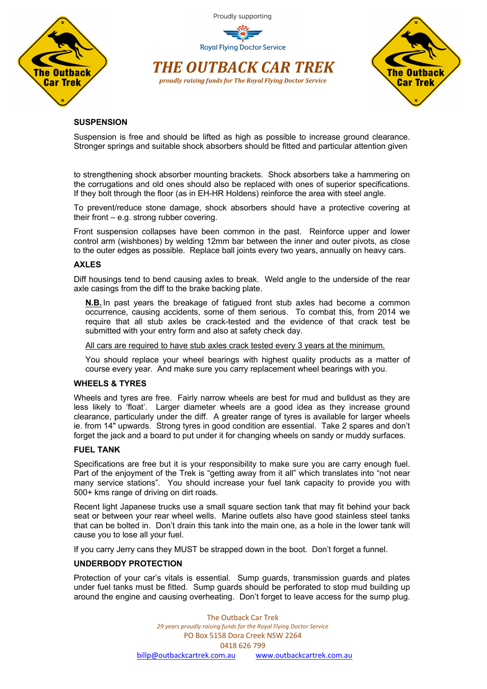

**Royal Flying Doctor Service** 





## **SUSPENSION**

Suspension is free and should be lifted as high as possible to increase ground clearance. Stronger springs and suitable shock absorbers should be fitted and particular attention given

to strengthening shock absorber mounting brackets. Shock absorbers take a hammering on the corrugations and old ones should also be replaced with ones of superior specifications. If they bolt through the floor (as in EH-HR Holdens) reinforce the area with steel angle.

To prevent/reduce stone damage, shock absorbers should have a protective covering at their front – e.g. strong rubber covering.

Front suspension collapses have been common in the past. Reinforce upper and lower control arm (wishbones) by welding 12mm bar between the inner and outer pivots, as close to the outer edges as possible. Replace ball joints every two years, annually on heavy cars.

#### **AXLES**

Diff housings tend to bend causing axles to break. Weld angle to the underside of the rear axle casings from the diff to the brake backing plate.

**N.B.** In past years the breakage of fatigued front stub axles had become a common occurrence, causing accidents, some of them serious. To combat this, from 2014 we require that all stub axles be crack-tested and the evidence of that crack test be submitted with your entry form and also at safety check day.

All cars are required to have stub axles crack tested every 3 years at the minimum.

You should replace your wheel bearings with highest quality products as a matter of course every year. And make sure you carry replacement wheel bearings with you.

## **WHEELS & TYRES**

Wheels and tyres are free. Fairly narrow wheels are best for mud and bulldust as they are less likely to 'float'. Larger diameter wheels are a good idea as they increase ground clearance, particularly under the diff. A greater range of tyres is available for larger wheels ie. from 14" upwards. Strong tyres in good condition are essential. Take 2 spares and don't forget the jack and a board to put under it for changing wheels on sandy or muddy surfaces.

#### **FUEL TANK**

Specifications are free but it is your responsibility to make sure you are carry enough fuel. Part of the enjoyment of the Trek is "getting away from it all" which translates into "not near many service stations". You should increase your fuel tank capacity to provide you with 500+ kms range of driving on dirt roads.

Recent light Japanese trucks use a small square section tank that may fit behind your back seat or between your rear wheel wells. Marine outlets also have good stainless steel tanks that can be bolted in. Don't drain this tank into the main one, as a hole in the lower tank will cause you to lose all your fuel.

If you carry Jerry cans they MUST be strapped down in the boot. Don't forget a funnel.

#### **UNDERBODY PROTECTION**

Protection of your car's vitals is essential. Sump guards, transmission guards and plates under fuel tanks must be fitted. Sump guards should be perforated to stop mud building up around the engine and causing overheating. Don't forget to leave access for the sump plug.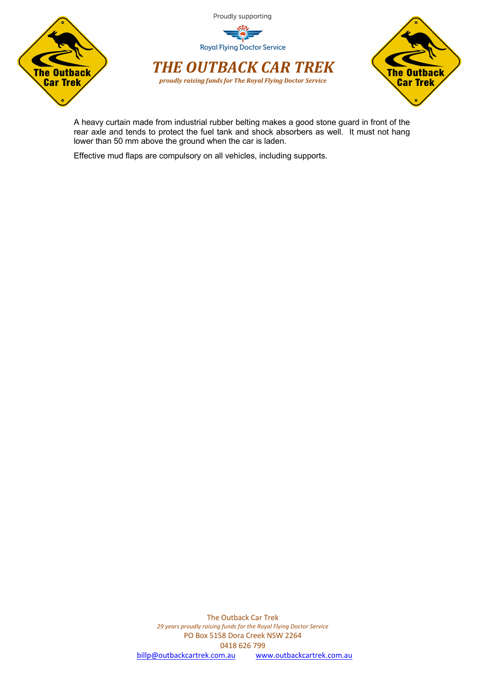



A heavy curtain made from industrial rubber belting makes a good stone guard in front of the rear axle and tends to protect the fuel tank and shock absorbers as well. It must not hang lower than 50 mm above the ground when the car is laden.

Effective mud flaps are compulsory on all vehicles, including supports.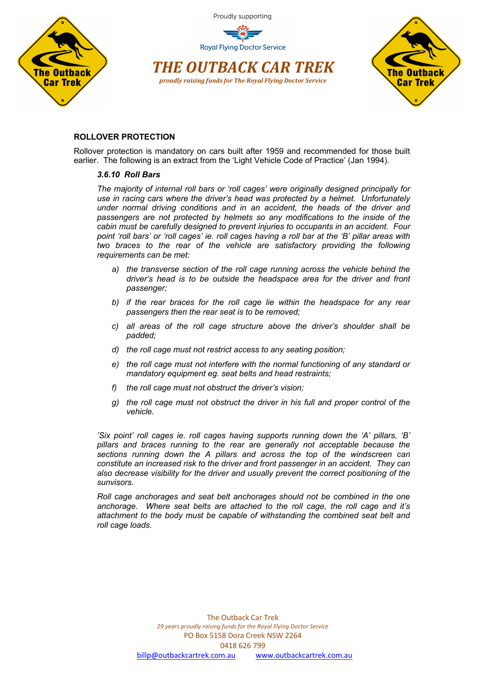

**Royal Flying Doctor Service** 





## **ROLLOVER PROTECTION**

Rollover protection is mandatory on cars built after 1959 and recommended for those built earlier. The following is an extract from the 'Light Vehicle Code of Practice' (Jan 1994).

#### *3.6.10 Roll Bars*

*The majority of internal roll bars or 'roll cages' were originally designed principally for use in racing cars where the driver's head was protected by a helmet. Unfortunately under normal driving conditions and in an accident, the heads of the driver and passengers are not protected by helmets so any modifications to the inside of the cabin must be carefully designed to prevent injuries to occupants in an accident. Four point 'roll bars' or 'roll cages' ie. roll cages having a roll bar at the 'B' pillar areas with*  two braces to the rear of the vehicle are satisfactory providing the following *requirements can be met:*

- *a) the transverse section of the roll cage running across the vehicle behind the driver's head is to be outside the headspace area for the driver and front passenger;*
- *b) if the rear braces for the roll cage lie within the headspace for any rear passengers then the rear seat is to be removed;*
- *c) all areas of the roll cage structure above the driver's shoulder shall be padded;*
- *d) the roll cage must not restrict access to any seating position;*
- *e) the roll cage must not interfere with the normal functioning of any standard or mandatory equipment eg. seat belts and head restraints;*
- *f) the roll cage must not obstruct the driver's vision;*
- *g) the roll cage must not obstruct the driver in his full and proper control of the vehicle.*

*'Six point' roll cages ie. roll cages having supports running down the 'A' pillars, 'B' pillars and braces running to the rear are generally not acceptable because the sections running down the A pillars and across the top of the windscreen can constitute an increased risk to the driver and front passenger in an accident. They can also decrease visibility for the driver and usually prevent the correct positioning of the sunvisors.* 

*Roll cage anchorages and seat belt anchorages should not be combined in the one anchorage. Where seat belts are attached to the roll cage, the roll cage and it's attachment to the body must be capable of withstanding the combined seat belt and roll cage loads.*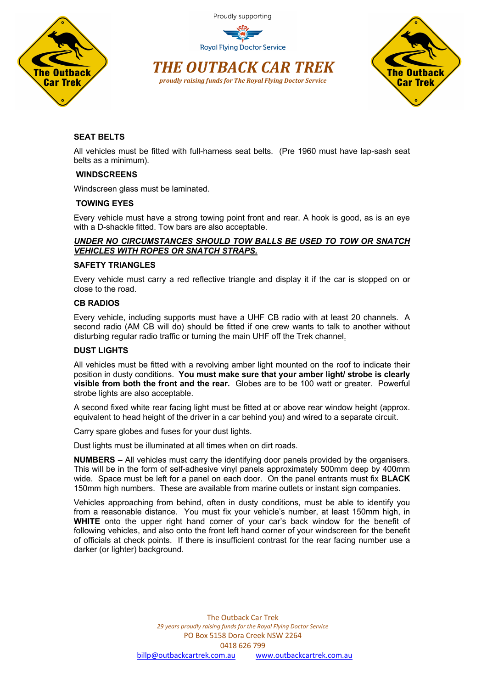

**Royal Flying Doctor Service** 





# **SEAT BELTS**

All vehicles must be fitted with full-harness seat belts. (Pre 1960 must have lap-sash seat belts as a minimum).

## **WINDSCREENS**

Windscreen glass must be laminated.

## **TOWING EYES**

Every vehicle must have a strong towing point front and rear. A hook is good, as is an eye with a D-shackle fitted. Tow bars are also acceptable.

## *UNDER NO CIRCUMSTANCES SHOULD TOW BALLS BE USED TO TOW OR SNATCH VEHICLES WITH ROPES OR SNATCH STRAPS.*

## **SAFETY TRIANGLES**

Every vehicle must carry a red reflective triangle and display it if the car is stopped on or close to the road.

#### **CB RADIOS**

Every vehicle, including supports must have a UHF CB radio with at least 20 channels. A second radio (AM CB will do) should be fitted if one crew wants to talk to another without disturbing regular radio traffic or turning the main UHF off the Trek channel.

## **DUST LIGHTS**

All vehicles must be fitted with a revolving amber light mounted on the roof to indicate their position in dusty conditions. **You must make sure that your amber light/ strobe is clearly visible from both the front and the rear.** Globes are to be 100 watt or greater. Powerful strobe lights are also acceptable.

A second fixed white rear facing light must be fitted at or above rear window height (approx. equivalent to head height of the driver in a car behind you) and wired to a separate circuit.

Carry spare globes and fuses for your dust lights.

Dust lights must be illuminated at all times when on dirt roads.

**NUMBERS** – All vehicles must carry the identifying door panels provided by the organisers. This will be in the form of self-adhesive vinyl panels approximately 500mm deep by 400mm wide. Space must be left for a panel on each door. On the panel entrants must fix **BLACK** 150mm high numbers. These are available from marine outlets or instant sign companies.

Vehicles approaching from behind, often in dusty conditions, must be able to identify you from a reasonable distance. You must fix your vehicle's number, at least 150mm high, in **WHITE** onto the upper right hand corner of your car's back window for the benefit of following vehicles, and also onto the front left hand corner of your windscreen for the benefit of officials at check points. If there is insufficient contrast for the rear facing number use a darker (or lighter) background.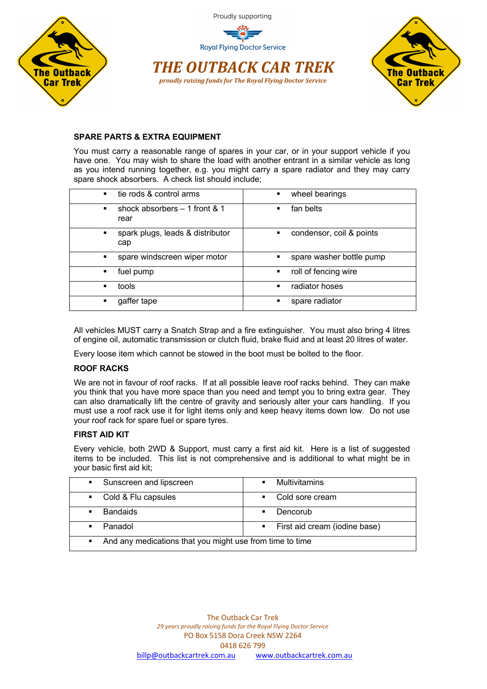

*THE OUTBACK CAR TREK proudly raising funds for The Royal Flying Doctor Service*



## **SPARE PARTS & EXTRA EQUIPMENT**

You must carry a reasonable range of spares in your car, or in your support vehicle if you have one. You may wish to share the load with another entrant in a similar vehicle as long as you intend running together, e.g. you might carry a spare radiator and they may carry spare shock absorbers. A check list should include;

| tie rods & control arms                                  | wheel bearings                             |
|----------------------------------------------------------|--------------------------------------------|
| $\blacksquare$                                           | $\blacksquare$                             |
| shock absorbers $-1$ front & 1<br>$\blacksquare$<br>rear | fan belts<br>$\blacksquare$                |
| spark plugs, leads & distributor<br>٠<br>cap             | condensor, coil & points<br>$\blacksquare$ |
| spare windscreen wiper motor                             | spare washer bottle pump                   |
| ٠                                                        | П                                          |
| fuel pump                                                | roll of fencing wire                       |
| ٠                                                        | $\blacksquare$                             |
| tools                                                    | radiator hoses                             |
| $\blacksquare$                                           | $\blacksquare$                             |
| gaffer tape                                              | spare radiator                             |
| ٠                                                        | п                                          |

All vehicles MUST carry a Snatch Strap and a fire extinguisher. You must also bring 4 litres of engine oil, automatic transmission or clutch fluid, brake fluid and at least 20 litres of water.

Every loose item which cannot be stowed in the boot must be bolted to the floor.

## **ROOF RACKS**

We are not in favour of roof racks. If at all possible leave roof racks behind. They can make you think that you have more space than you need and tempt you to bring extra gear. They can also dramatically lift the centre of gravity and seriously alter your cars handling. If you must use a roof rack use it for light items only and keep heavy items down low. Do not use your roof rack for spare fuel or spare tyres.

## **FIRST AID KIT**

Every vehicle, both 2WD & Support, must carry a first aid kit. Here is a list of suggested items to be included. This list is not comprehensive and is additional to what might be in your basic first aid kit;

| Sunscreen and lipscreen<br>$\mathbf{H}^{\text{max}}$                       | <b>Multivitamins</b><br>п       |
|----------------------------------------------------------------------------|---------------------------------|
| Cold & Flu capsules<br>$\mathbf{m}$                                        | Cold sore cream<br>٠.           |
| <b>Bandaids</b>                                                            | Dencorub<br>п                   |
| Panadol                                                                    | • First aid cream (iodine base) |
| And any medications that you might use from time to time<br>$\blacksquare$ |                                 |